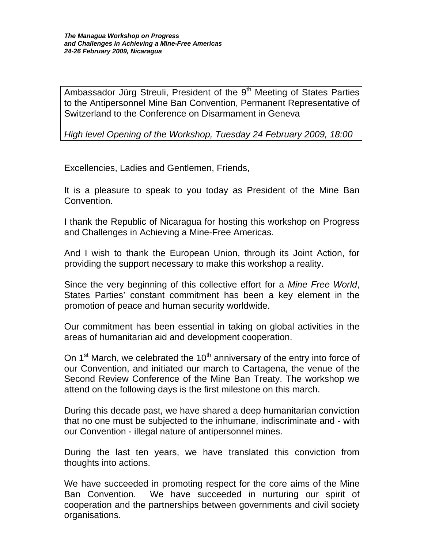Ambassador Jürg Streuli, President of the  $9<sup>th</sup>$  Meeting of States Parties to the Antipersonnel Mine Ban Convention, Permanent Representative of Switzerland to the Conference on Disarmament in Geneva

*High level Opening of the Workshop, Tuesday 24 February 2009, 18:00* 

Excellencies, Ladies and Gentlemen, Friends,

It is a pleasure to speak to you today as President of the Mine Ban Convention.

I thank the Republic of Nicaragua for hosting this workshop on Progress and Challenges in Achieving a Mine-Free Americas.

And I wish to thank the European Union, through its Joint Action, for providing the support necessary to make this workshop a reality.

Since the very beginning of this collective effort for a *Mine Free World*, States Parties' constant commitment has been a key element in the promotion of peace and human security worldwide.

Our commitment has been essential in taking on global activities in the areas of humanitarian aid and development cooperation.

On  $1<sup>st</sup>$  March, we celebrated the  $10<sup>th</sup>$  anniversary of the entry into force of our Convention, and initiated our march to Cartagena, the venue of the Second Review Conference of the Mine Ban Treaty. The workshop we attend on the following days is the first milestone on this march.

During this decade past, we have shared a deep humanitarian conviction that no one must be subjected to the inhumane, indiscriminate and - with our Convention - illegal nature of antipersonnel mines.

During the last ten years, we have translated this conviction from thoughts into actions.

We have succeeded in promoting respect for the core aims of the Mine Ban Convention. We have succeeded in nurturing our spirit of cooperation and the partnerships between governments and civil society organisations.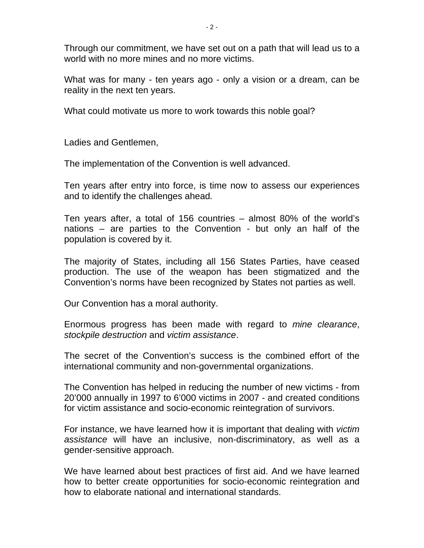Through our commitment, we have set out on a path that will lead us to a world with no more mines and no more victims.

What was for many - ten years ago - only a vision or a dream, can be reality in the next ten years.

What could motivate us more to work towards this noble goal?

Ladies and Gentlemen,

The implementation of the Convention is well advanced.

Ten years after entry into force, is time now to assess our experiences and to identify the challenges ahead*.* 

Ten years after, a total of 156 countries – almost 80% of the world's nations – are parties to the Convention - but only an half of the population is covered by it.

The majority of States, including all 156 States Parties, have ceased production. The use of the weapon has been stigmatized and the Convention's norms have been recognized by States not parties as well.

Our Convention has a moral authority.

Enormous progress has been made with regard to *mine clearance*, *stockpile destruction* and *victim assistance*.

The secret of the Convention's success is the combined effort of the international community and non-governmental organizations.

The Convention has helped in reducing the number of new victims - from 20'000 annually in 1997 to 6'000 victims in 2007 - and created conditions for victim assistance and socio-economic reintegration of survivors.

For instance, we have learned how it is important that dealing with *victim assistance* will have an inclusive, non-discriminatory, as well as a gender-sensitive approach.

We have learned about best practices of first aid. And we have learned how to better create opportunities for socio-economic reintegration and how to elaborate national and international standards.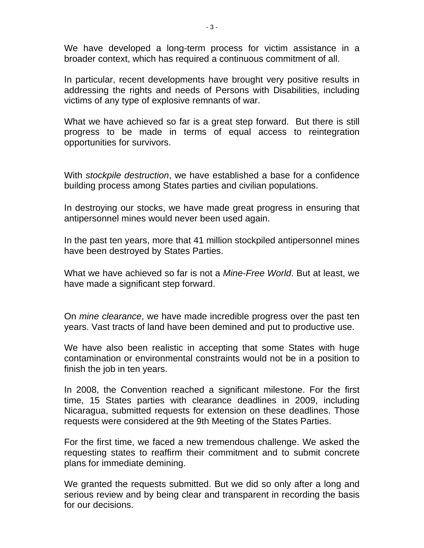We have developed a long-term process for victim assistance in a broader context, which has required a continuous commitment of all.

In particular, recent developments have brought very positive results in addressing the rights and needs of Persons with Disabilities, including victims of any type of explosive remnants of war.

What we have achieved so far is a great step forward. But there is still progress to be made in terms of equal access to reintegration opportunities for survivors.

With *stockpile destruction*, we have established a base for a confidence building process among States parties and civilian populations.

In destroying our stocks, we have made great progress in ensuring that antipersonnel mines would never been used again.

In the past ten years, more that 41 million stockpiled antipersonnel mines have been destroyed by States Parties.

What we have achieved so far is not a *Mine-Free World*. But at least, we have made a significant step forward.

On *mine clearance*, we have made incredible progress over the past ten years. Vast tracts of land have been demined and put to productive use.

We have also been realistic in accepting that some States with huge contamination or environmental constraints would not be in a position to finish the job in ten years.

In 2008, the Convention reached a significant milestone. For the first time, 15 States parties with clearance deadlines in 2009, including Nicaragua, submitted requests for extension on these deadlines. Those requests were considered at the 9th Meeting of the States Parties.

For the first time, we faced a new tremendous challenge. We asked the requesting states to reaffirm their commitment and to submit concrete plans for immediate demining.

We granted the requests submitted. But we did so only after a long and serious review and by being clear and transparent in recording the basis for our decisions.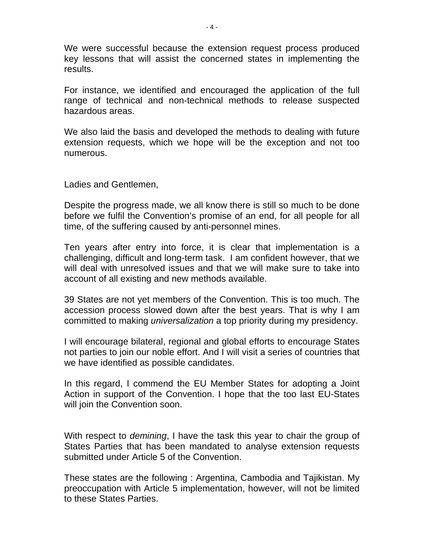We were successful because the extension request process produced key lessons that will assist the concerned states in implementing the results.

For instance, we identified and encouraged the application of the full range of technical and non-technical methods to release suspected hazardous areas.

We also laid the basis and developed the methods to dealing with future extension requests, which we hope will be the exception and not too numerous.

Ladies and Gentlemen,

Despite the progress made, we all know there is still so much to be done before we fulfil the Convention's promise of an end, for all people for all time, of the suffering caused by anti-personnel mines.

Ten years after entry into force, it is clear that implementation is a challenging, difficult and long-term task. I am confident however, that we will deal with unresolved issues and that we will make sure to take into account of all existing and new methods available.

39 States are not yet members of the Convention. This is too much. The accession process slowed down after the best years. That is why I am committed to making *universalization* a top priority during my presidency.

I will encourage bilateral, regional and global efforts to encourage States not parties to join our noble effort. And I will visit a series of countries that we have identified as possible candidates.

In this regard, I commend the EU Member States for adopting a Joint Action in support of the Convention. I hope that the too last EU-States will join the Convention soon.

With respect to *demining*, I have the task this year to chair the group of States Parties that has been mandated to analyse extension requests submitted under Article 5 of the Convention.

These states are the following : Argentina, Cambodia and Tajikistan. My preoccupation with Article 5 implementation, however, will not be limited to these States Parties.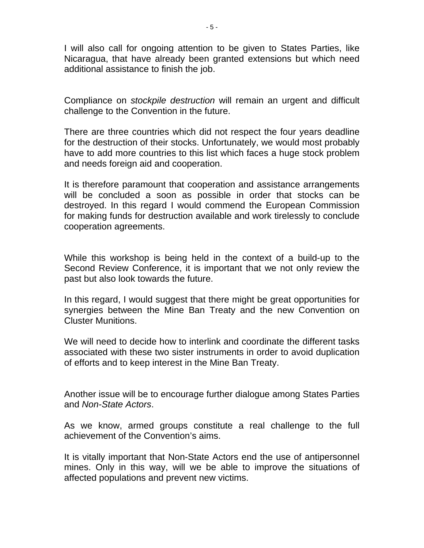I will also call for ongoing attention to be given to States Parties, like Nicaragua, that have already been granted extensions but which need additional assistance to finish the job.

Compliance on *stockpile destruction* will remain an urgent and difficult challenge to the Convention in the future.

There are three countries which did not respect the four years deadline for the destruction of their stocks. Unfortunately, we would most probably have to add more countries to this list which faces a huge stock problem and needs foreign aid and cooperation.

It is therefore paramount that cooperation and assistance arrangements will be concluded a soon as possible in order that stocks can be destroyed. In this regard I would commend the European Commission for making funds for destruction available and work tirelessly to conclude cooperation agreements.

While this workshop is being held in the context of a build-up to the Second Review Conference, it is important that we not only review the past but also look towards the future.

In this regard, I would suggest that there might be great opportunities for synergies between the Mine Ban Treaty and the new Convention on Cluster Munitions.

We will need to decide how to interlink and coordinate the different tasks associated with these two sister instruments in order to avoid duplication of efforts and to keep interest in the Mine Ban Treaty.

Another issue will be to encourage further dialogue among States Parties and *Non-State Actors*.

As we know, armed groups constitute a real challenge to the full achievement of the Convention's aims.

It is vitally important that Non-State Actors end the use of antipersonnel mines. Only in this way, will we be able to improve the situations of affected populations and prevent new victims.